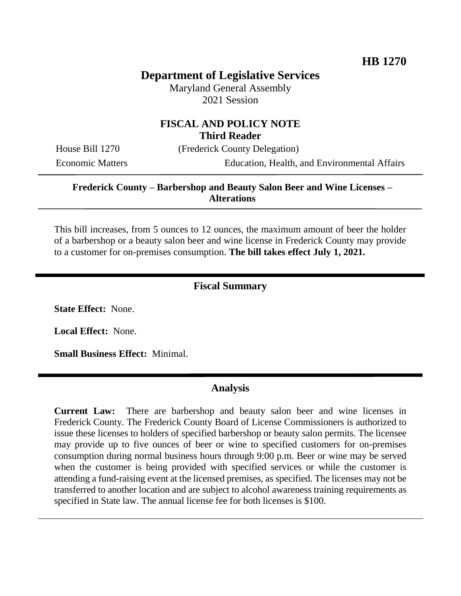## **Department of Legislative Services**

Maryland General Assembly 2021 Session

## **FISCAL AND POLICY NOTE Third Reader**

House Bill 1270 (Frederick County Delegation)

Economic Matters Education, Health, and Environmental Affairs

### **Frederick County – Barbershop and Beauty Salon Beer and Wine Licenses – Alterations**

This bill increases, from 5 ounces to 12 ounces, the maximum amount of beer the holder of a barbershop or a beauty salon beer and wine license in Frederick County may provide to a customer for on-premises consumption. **The bill takes effect July 1, 2021.**

#### **Fiscal Summary**

**State Effect:** None.

**Local Effect:** None.

**Small Business Effect:** Minimal.

#### **Analysis**

**Current Law:** There are barbershop and beauty salon beer and wine licenses in Frederick County. The Frederick County Board of License Commissioners is authorized to issue these licenses to holders of specified barbershop or beauty salon permits. The licensee may provide up to five ounces of beer or wine to specified customers for on-premises consumption during normal business hours through 9:00 p.m. Beer or wine may be served when the customer is being provided with specified services or while the customer is attending a fund-raising event at the licensed premises, as specified. The licenses may not be transferred to another location and are subject to alcohol awareness training requirements as specified in State law. The annual license fee for both licenses is \$100.